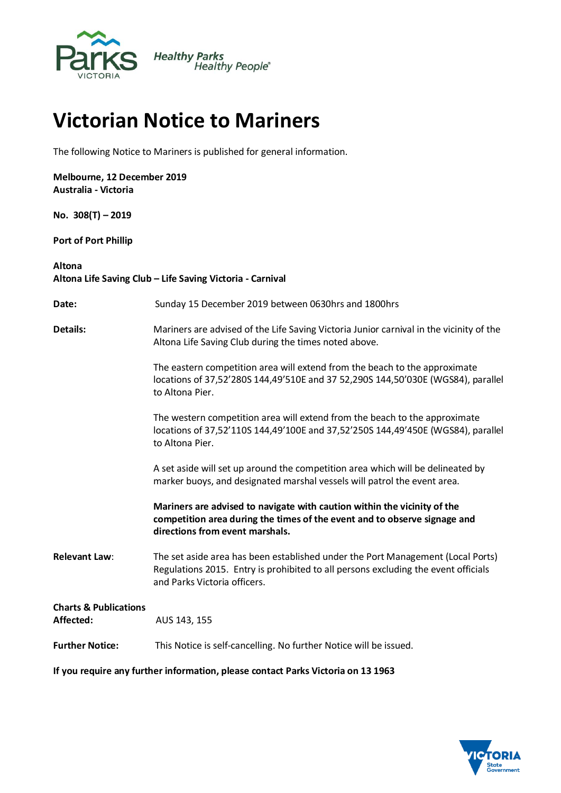

## **Victorian Notice to Mariners**

The following Notice to Mariners is published for general information.

| Melbourne, 12 December 2019 |  |
|-----------------------------|--|
| Australia - Victoria        |  |

**No. 308(T) – 2019**

## **Port of Port Phillip**

| <b>Altona</b><br>Altona Life Saving Club - Life Saving Victoria - Carnival |                                                                                                                                                                                                       |  |
|----------------------------------------------------------------------------|-------------------------------------------------------------------------------------------------------------------------------------------------------------------------------------------------------|--|
| Date:                                                                      | Sunday 15 December 2019 between 0630hrs and 1800hrs                                                                                                                                                   |  |
| Details:                                                                   | Mariners are advised of the Life Saving Victoria Junior carnival in the vicinity of the<br>Altona Life Saving Club during the times noted above.                                                      |  |
|                                                                            | The eastern competition area will extend from the beach to the approximate<br>locations of 37,52'280S 144,49'510E and 37 52,290S 144,50'030E (WGS84), parallel<br>to Altona Pier.                     |  |
|                                                                            | The western competition area will extend from the beach to the approximate<br>locations of 37,52'110S 144,49'100E and 37,52'250S 144,49'450E (WGS84), parallel<br>to Altona Pier.                     |  |
|                                                                            | A set aside will set up around the competition area which will be delineated by<br>marker buoys, and designated marshal vessels will patrol the event area.                                           |  |
|                                                                            | Mariners are advised to navigate with caution within the vicinity of the<br>competition area during the times of the event and to observe signage and<br>directions from event marshals.              |  |
| <b>Relevant Law:</b>                                                       | The set aside area has been established under the Port Management (Local Ports)<br>Regulations 2015. Entry is prohibited to all persons excluding the event officials<br>and Parks Victoria officers. |  |
| <b>Charts &amp; Publications</b><br>Affected:                              | AUS 143, 155                                                                                                                                                                                          |  |
| <b>Further Notice:</b>                                                     | This Notice is self-cancelling. No further Notice will be issued.                                                                                                                                     |  |

**If you require any further information, please contact Parks Victoria on 13 1963**